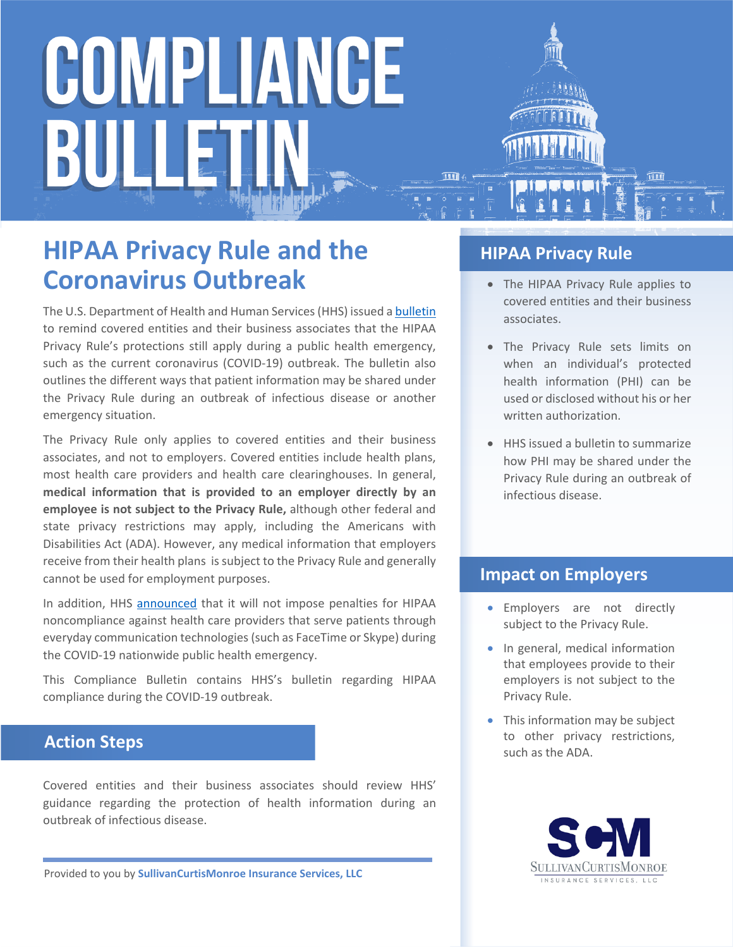# COMPLIANCE BULLET

### **HIPAA Privacy Rule and the Coronavirus Outbreak**

The U.S. Department of Health and Human Services (HHS) issued a [bulletin](https://www.hhs.gov/sites/default/files/february-2020-hipaa-and-novel-coronavirus.pdf) to remind covered entities and their business associates that the HIPAA Privacy Rule's protections still apply during a public health emergency, such as the current coronavirus (COVID-19) outbreak. The bulletin also outlines the different ways that patient information may be shared under the Privacy Rule during an outbreak of infectious disease or another emergency situation.

The Privacy Rule only applies to covered entities and their business associates, and not to employers. Covered entities include health plans, most health care providers and health care clearinghouses. In general, **medical information that is provided to an employer directly by an employee is not subject to the Privacy Rule,** although other federal and state privacy restrictions may apply, including the Americans with Disabilities Act (ADA). However, any medical information that employers receive from their health plans is subject to the Privacy Rule and generally cannot be used for employment purposes.

In addition, HHS [announced](https://www.hhs.gov/about/news/2020/03/17/ocr-announces-notification-of-enforcement-discretion-for-telehealth-remote-communications-during-the-covid-19.html) that it will not impose penalties for HIPAA noncompliance against health care providers that serve patients through everyday communication technologies (such as FaceTime or Skype) during the COVID-19 nationwide public health emergency.

This Compliance Bulletin contains HHS's bulletin regarding HIPAA compliance during the COVID-19 outbreak.

#### **Action Steps**

Covered entities and their business associates should review HHS' guidance regarding the protection of health information during an outbreak of infectious disease. **enforced.** 

Provided to you by **SullivanCurtisMonroe Insurance Services, LLC**

#### **HIPAA Privacy Rule**

- The HIPAA Privacy Rule applies to covered entities and their business associates.
- The Privacy Rule sets limits on when an individual's protected health information (PHI) can be used or disclosed without his or her written authorization.
- HHS issued a bulletin to summarize how PHI may be shared under the Privacy Rule during an outbreak of infectious disease.

#### **Impact on Employers**

- Employers are not directly subject to the Privacy Rule.
- In general, medical information that employees provide to their employers is not subject to the Privacy Rule.
- This information may be subject to other privacy restrictions, such as the ADA.

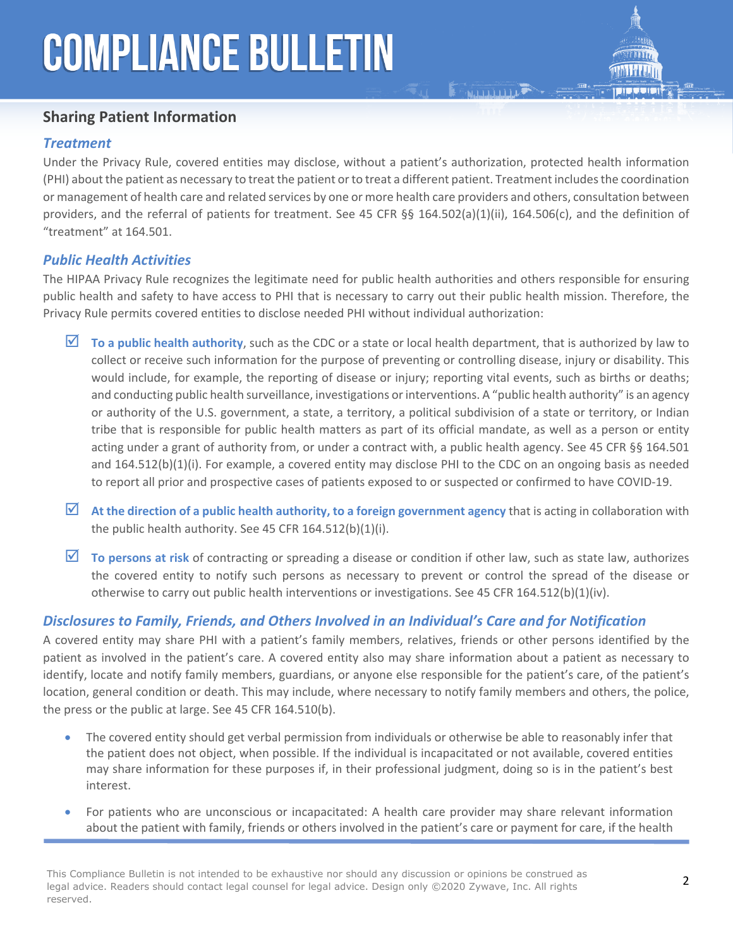### **COMPLIANCE BULLETIN**

#### **Sharing Patient Information**

#### *Treatment*

Under the Privacy Rule, covered entities may disclose, without a patient's authorization, protected health information (PHI) about the patient as necessary to treat the patient or to treat a different patient. Treatment includes the coordination or management of health care and related services by one or more health care providers and others, consultation between providers, and the referral of patients for treatment. See 45 CFR §§ 164.502(a)(1)(ii), 164.506(c), and the definition of "treatment" at 164.501.

#### *Public Health Activities*

The HIPAA Privacy Rule recognizes the legitimate need for public health authorities and others responsible for ensuring public health and safety to have access to PHI that is necessary to carry out their public health mission. Therefore, the Privacy Rule permits covered entities to disclose needed PHI without individual authorization:

- $\boxtimes$  To a public health authority, such as the CDC or a state or local health department, that is authorized by law to collect or receive such information for the purpose of preventing or controlling disease, injury or disability. This would include, for example, the reporting of disease or injury; reporting vital events, such as births or deaths; and conducting public health surveillance, investigations or interventions. A "public health authority" is an agency or authority of the U.S. government, a state, a territory, a political subdivision of a state or territory, or Indian tribe that is responsible for public health matters as part of its official mandate, as well as a person or entity acting under a grant of authority from, or under a contract with, a public health agency. See 45 CFR §§ 164.501 and 164.512(b)(1)(i). For example, a covered entity may disclose PHI to the CDC on an ongoing basis as needed to report all prior and prospective cases of patients exposed to or suspected or confirmed to have COVID-19.
- **At the direction of a public health authority, to a foreign government agency** that is acting in collaboration with the public health authority. See 45 CFR 164.512(b)(1)(i).
- **To persons at risk** of contracting or spreading a disease or condition if other law, such as state law, authorizes the covered entity to notify such persons as necessary to prevent or control the spread of the disease or otherwise to carry out public health interventions or investigations. See 45 CFR 164.512(b)(1)(iv).

#### *Disclosures to Family, Friends, and Others Involved in an Individual's Care and for Notification*

A covered entity may share PHI with a patient's family members, relatives, friends or other persons identified by the patient as involved in the patient's care. A covered entity also may share information about a patient as necessary to identify, locate and notify family members, guardians, or anyone else responsible for the patient's care, of the patient's location, general condition or death. This may include, where necessary to notify family members and others, the police, the press or the public at large. See 45 CFR 164.510(b).

- The covered entity should get verbal permission from individuals or otherwise be able to reasonably infer that the patient does not object, when possible. If the individual is incapacitated or not available, covered entities may share information for these purposes if, in their professional judgment, doing so is in the patient's best interest.
- For patients who are unconscious or incapacitated: A health care provider may share relevant information about the patient with family, friends or others involved in the patient's care or payment for care, if the health

This Compliance Bulletin is not intended to be exhaustive nor should any discussion or opinions be construed as legal advice. Readers should contact legal counsel for legal advice. Design only ©2020 Zywave, Inc. All rights reserved.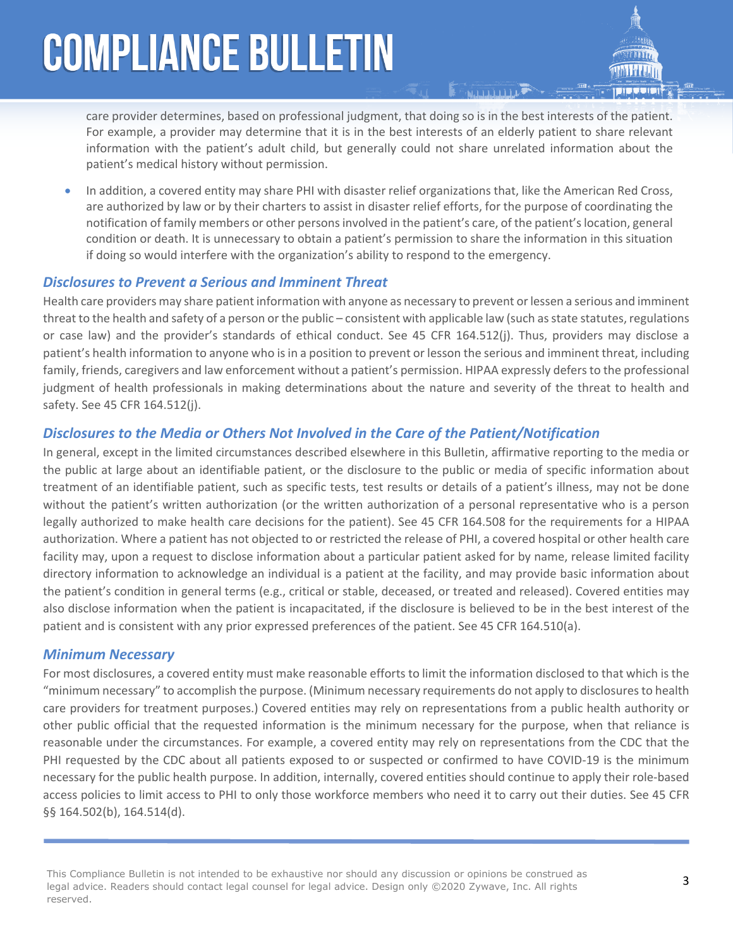## **COMPLIANCE BULLETIN**

care provider determines, based on professional judgment, that doing so is in the best interests of the patient. For example, a provider may determine that it is in the best interests of an elderly patient to share relevant information with the patient's adult child, but generally could not share unrelated information about the patient's medical history without permission.

 In addition, a covered entity may share PHI with disaster relief organizations that, like the American Red Cross, are authorized by law or by their charters to assist in disaster relief efforts, for the purpose of coordinating the notification of family members or other persons involved in the patient's care, of the patient's location, general condition or death. It is unnecessary to obtain a patient's permission to share the information in this situation if doing so would interfere with the organization's ability to respond to the emergency.

#### *Disclosures to Prevent a Serious and Imminent Threat*

Health care providers may share patient information with anyone as necessary to prevent or lessen a serious and imminent threat to the health and safety of a person or the public – consistent with applicable law (such as state statutes, regulations or case law) and the provider's standards of ethical conduct. See 45 CFR 164.512(j). Thus, providers may disclose a patient's health information to anyone who is in a position to prevent or lesson the serious and imminent threat, including family, friends, caregivers and law enforcement without a patient's permission. HIPAA expressly defers to the professional judgment of health professionals in making determinations about the nature and severity of the threat to health and safety. See 45 CFR 164.512(j).

#### *Disclosures to the Media or Others Not Involved in the Care of the Patient/Notification*

In general, except in the limited circumstances described elsewhere in this Bulletin, affirmative reporting to the media or the public at large about an identifiable patient, or the disclosure to the public or media of specific information about treatment of an identifiable patient, such as specific tests, test results or details of a patient's illness, may not be done without the patient's written authorization (or the written authorization of a personal representative who is a person legally authorized to make health care decisions for the patient). See 45 CFR 164.508 for the requirements for a HIPAA authorization. Where a patient has not objected to or restricted the release of PHI, a covered hospital or other health care facility may, upon a request to disclose information about a particular patient asked for by name, release limited facility directory information to acknowledge an individual is a patient at the facility, and may provide basic information about the patient's condition in general terms (e.g., critical or stable, deceased, or treated and released). Covered entities may also disclose information when the patient is incapacitated, if the disclosure is believed to be in the best interest of the patient and is consistent with any prior expressed preferences of the patient. See 45 CFR 164.510(a).

#### *Minimum Necessary*

For most disclosures, a covered entity must make reasonable efforts to limit the information disclosed to that which is the "minimum necessary" to accomplish the purpose. (Minimum necessary requirements do not apply to disclosures to health care providers for treatment purposes.) Covered entities may rely on representations from a public health authority or other public official that the requested information is the minimum necessary for the purpose, when that reliance is reasonable under the circumstances. For example, a covered entity may rely on representations from the CDC that the PHI requested by the CDC about all patients exposed to or suspected or confirmed to have COVID-19 is the minimum necessary for the public health purpose. In addition, internally, covered entities should continue to apply their role-based access policies to limit access to PHI to only those workforce members who need it to carry out their duties. See 45 CFR §§ 164.502(b), 164.514(d).

This Compliance Bulletin is not intended to be exhaustive nor should any discussion or opinions be construed as legal advice. Readers should contact legal counsel for legal advice. Design only ©2020 Zywave, Inc. All rights reserved.